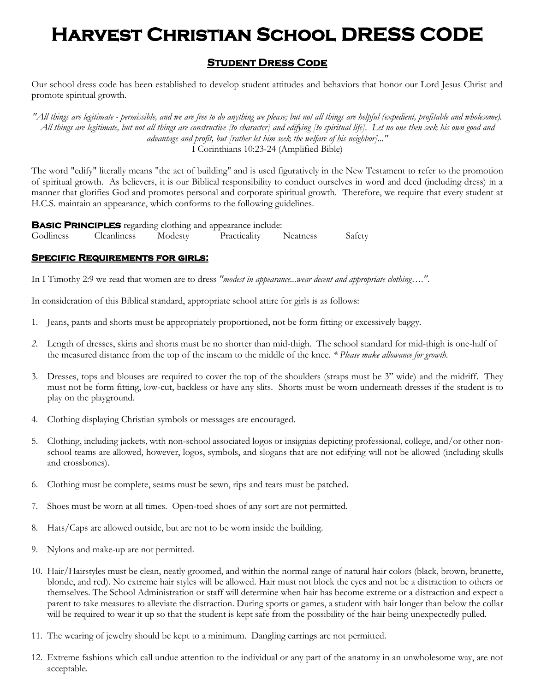# **Harvest Christian School DRESS CODE**

### **Student Dress Code**

Our school dress code has been established to develop student attitudes and behaviors that honor our Lord Jesus Christ and promote spiritual growth.

*"All things are legitimate - permissible, and we are free to do anything we please; but not all things are helpful (expedient, profitable and wholesome). All things are legitimate, but not all things are constructive [to character] and edifying [to spiritual life]. Let no one then seek his own good and advantage and profit, but [rather let him seek the welfare of his neighbor]..."* I Corinthians 10:23-24 (Amplified Bible)

The word "edify" literally means "the act of building" and is used figuratively in the New Testament to refer to the promotion of spiritual growth. As believers, it is our Biblical responsibility to conduct ourselves in word and deed (including dress) in a manner that glorifies God and promotes personal and corporate spiritual growth. Therefore, we require that every student at H.C.S. maintain an appearance, which conforms to the following guidelines.

**BASIC PRINCIPLES** regarding clothing and appearance include: Godliness Cleanliness Modesty Practicality Neatness Safety

#### **Specific Requirements for girls:**

In I Timothy 2:9 we read that women are to dress *"modest in appearance...wear decent and appropriate clothing…."*.

In consideration of this Biblical standard, appropriate school attire for girls is as follows:

- 1. Jeans, pants and shorts must be appropriately proportioned, not be form fitting or excessively baggy.
- *2.* Length of dresses, skirts and shorts must be no shorter than mid-thigh. The school standard for mid-thigh is one-half of the measured distance from the top of the inseam to the middle of the knee. *\* Please make allowance for growth.*
- 3. Dresses, tops and blouses are required to cover the top of the shoulders (straps must be 3" wide) and the midriff. They must not be form fitting, low-cut, backless or have any slits. Shorts must be worn underneath dresses if the student is to play on the playground.
- 4. Clothing displaying Christian symbols or messages are encouraged.
- 5. Clothing, including jackets, with non-school associated logos or insignias depicting professional, college, and/or other nonschool teams are allowed, however, logos, symbols, and slogans that are not edifying will not be allowed (including skulls and crossbones).
- 6. Clothing must be complete, seams must be sewn, rips and tears must be patched.
- 7. Shoes must be worn at all times. Open-toed shoes of any sort are not permitted.
- 8. Hats/Caps are allowed outside, but are not to be worn inside the building.
- 9. Nylons and make-up are not permitted.
- 10. Hair/Hairstyles must be clean, neatly groomed, and within the normal range of natural hair colors (black, brown, brunette, blonde, and red). No extreme hair styles will be allowed. Hair must not block the eyes and not be a distraction to others or themselves. The School Administration or staff will determine when hair has become extreme or a distraction and expect a parent to take measures to alleviate the distraction. During sports or games, a student with hair longer than below the collar will be required to wear it up so that the student is kept safe from the possibility of the hair being unexpectedly pulled.
- 11. The wearing of jewelry should be kept to a minimum. Dangling earrings are not permitted.
- 12. Extreme fashions which call undue attention to the individual or any part of the anatomy in an unwholesome way, are not acceptable.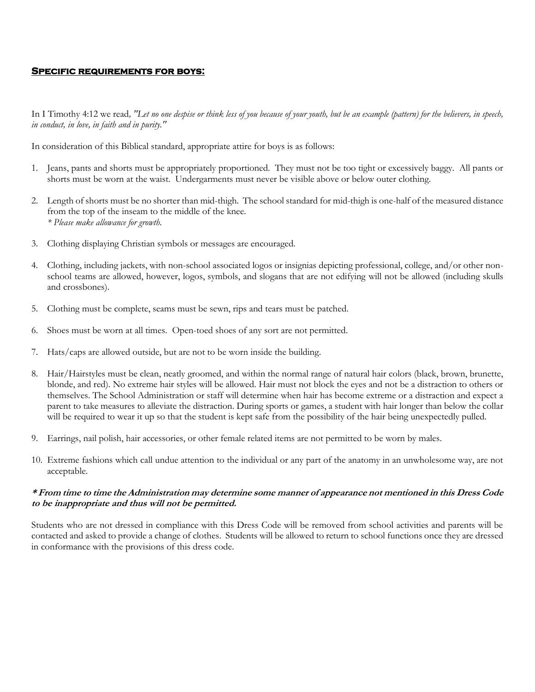#### **Specific requirements for boys:**

In I Timothy 4:12 we read*, "Let no one despise or think less of you because of your youth, but be an example (pattern) for the believers, in speech, in conduct, in love, in faith and in purity."*

In consideration of this Biblical standard, appropriate attire for boys is as follows:

- 1. Jeans, pants and shorts must be appropriately proportioned. They must not be too tight or excessively baggy. All pants or shorts must be worn at the waist. Undergarments must never be visible above or below outer clothing.
- 2. Length of shorts must be no shorter than mid-thigh. The school standard for mid-thigh is one-half of the measured distance from the top of the inseam to the middle of the knee. *\* Please make allowance for growth.*
- 3. Clothing displaying Christian symbols or messages are encouraged.
- 4. Clothing, including jackets, with non-school associated logos or insignias depicting professional, college, and/or other nonschool teams are allowed, however, logos, symbols, and slogans that are not edifying will not be allowed (including skulls and crossbones).
- 5. Clothing must be complete, seams must be sewn, rips and tears must be patched.
- 6. Shoes must be worn at all times. Open-toed shoes of any sort are not permitted.
- 7. Hats/caps are allowed outside, but are not to be worn inside the building.
- 8. Hair/Hairstyles must be clean, neatly groomed, and within the normal range of natural hair colors (black, brown, brunette, blonde, and red). No extreme hair styles will be allowed. Hair must not block the eyes and not be a distraction to others or themselves. The School Administration or staff will determine when hair has become extreme or a distraction and expect a parent to take measures to alleviate the distraction. During sports or games, a student with hair longer than below the collar will be required to wear it up so that the student is kept safe from the possibility of the hair being unexpectedly pulled.
- 9. Earrings, nail polish, hair accessories, or other female related items are not permitted to be worn by males.
- 10. Extreme fashions which call undue attention to the individual or any part of the anatomy in an unwholesome way, are not acceptable.

#### **\* From time to time the Administration may determine some manner of appearance not mentioned in this Dress Code to be inappropriate and thus will not be permitted.**

Students who are not dressed in compliance with this Dress Code will be removed from school activities and parents will be contacted and asked to provide a change of clothes. Students will be allowed to return to school functions once they are dressed in conformance with the provisions of this dress code.